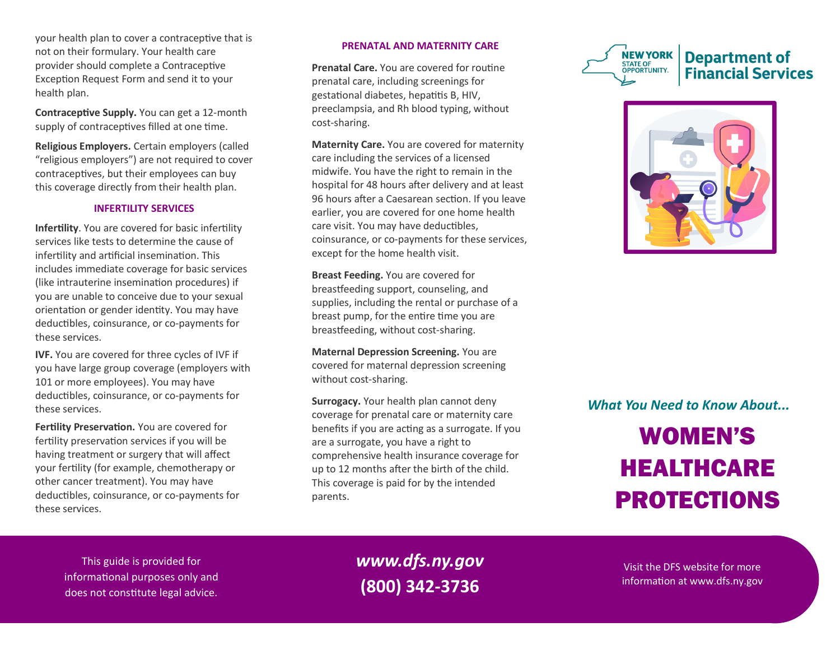your health plan to cover a contraceptive that is not on their formulary. Your health care provider should complete a Contraceptive Exception Request Form and send it to your health plan.

**Contraceptive Supply.** You can get a 12-month supply of contraceptives filled at one time.

**Religious Employers.** Certain employers (called "religious employers") are not required to cover contraceptives, but their employees can buy this coverage directly from their health plan.

## **INFERTILITY SERVICES**

**Infertility**. You are covered for basic infertility services like tests to determine the cause of infertility and artificial insemination. This includes immediate coverage for basic services (like intrauterine insemination procedures) if you are unable to conceive due to your sexual orientation or gender identity. You may have deductibles, coinsurance, or co-payments for these services.

**IVF.** You are covered for three cycles of IVF if you have large group coverage (employers with 101 or more employees). You may have deductibles, coinsurance, or co-payments for these services.

**Fertility Preservation.** You are covered for fertility preservation services if you will be having treatment or surgery that will affect your fertility (for example, chemotherapy or other cancer treatment). You may have deductibles, coinsurance, or co-payments for these services.

## **PRENATAL AND MATERNITY CARE**

**Prenatal Care.** You are covered for routine prenatal care, including screenings for gestational diabetes, hepatitis B, HIV, preeclampsia, and Rh blood typing, without cost-sharing.

**Maternity Care.** You are covered for maternity care including the services of a licensed midwife. You have the right to remain in the hospital for 48 hours after delivery and at least 96 hours after a Caesarean section. If you leave earlier, you are covered for one home health care visit. You may have deductibles, coinsurance, or co-payments for these services, except for the home health visit.

**Breast Feeding.** You are covered for breastfeeding support, counseling, and supplies, including the rental or purchase of a breast pump, for the entire time you are breastfeeding, without cost-sharing.

**Maternal Depression Screening.** You are covered for maternal depression screening without cost-sharing.

**Surrogacy.** Your health plan cannot deny coverage for prenatal care or maternity care benefits if you are acting as a surrogate. If you are a surrogate, you have a right to comprehensive health insurance coverage for up to 12 months after the birth of the child. This coverage is paid for by the intended parents.





*What You Need to Know About...*

# WOMEN'S HEALTHCARE PROTECTIONS

This guide is provided for informational purposes only and does not constitute legal advice.

*www.dfs.ny.gov* **(800) 342-3736**

Visit the DFS website for more information at www.dfs.ny.gov